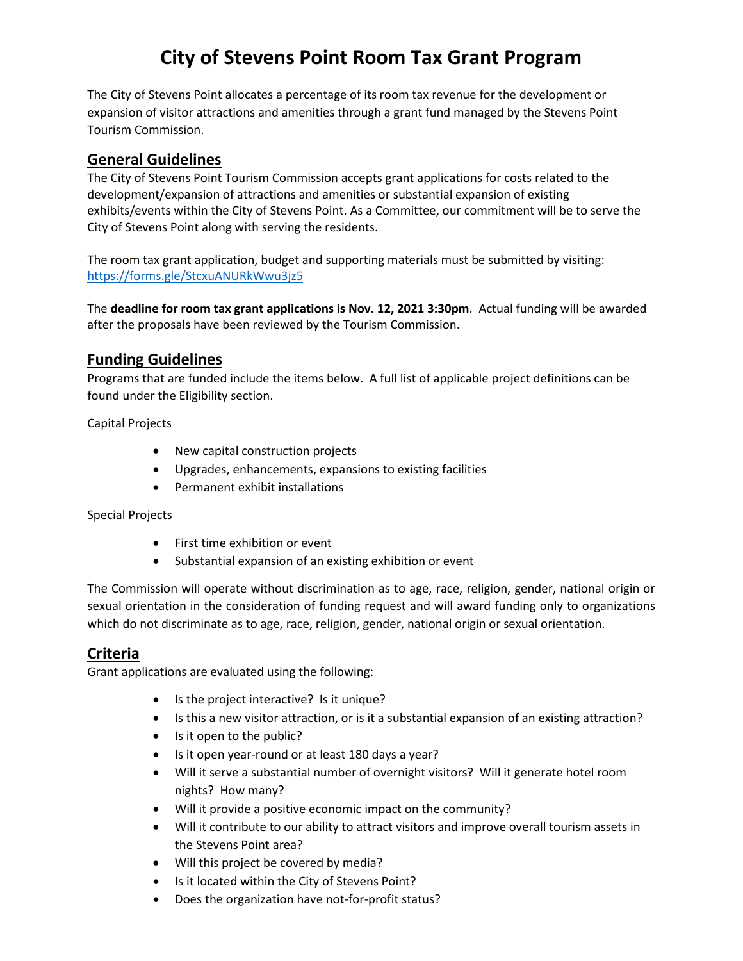# **City of Stevens Point Room Tax Grant Program**

The City of Stevens Point allocates a percentage of its room tax revenue for the development or expansion of visitor attractions and amenities through a grant fund managed by the Stevens Point Tourism Commission.

## **General Guidelines**

The City of Stevens Point Tourism Commission accepts grant applications for costs related to the development/expansion of attractions and amenities or substantial expansion of existing exhibits/events within the City of Stevens Point. As a Committee, our commitment will be to serve the City of Stevens Point along with serving the residents.

The room tax grant application, budget and supporting materials must be submitted by visiting: <https://forms.gle/StcxuANURkWwu3jz5>

The **deadline for room tax grant applications is Nov. 12, 2021 3:30pm**. Actual funding will be awarded after the proposals have been reviewed by the Tourism Commission.

## **Funding Guidelines**

Programs that are funded include the items below. A full list of applicable project definitions can be found under the Eligibility section.

Capital Projects

- New capital construction projects
- Upgrades, enhancements, expansions to existing facilities
- Permanent exhibit installations

#### Special Projects

- First time exhibition or event
- Substantial expansion of an existing exhibition or event

The Commission will operate without discrimination as to age, race, religion, gender, national origin or sexual orientation in the consideration of funding request and will award funding only to organizations which do not discriminate as to age, race, religion, gender, national origin or sexual orientation.

## **Criteria**

Grant applications are evaluated using the following:

- Is the project interactive? Is it unique?
- Is this a new visitor attraction, or is it a substantial expansion of an existing attraction?
- Is it open to the public?
- Is it open year-round or at least 180 days a year?
- Will it serve a substantial number of overnight visitors? Will it generate hotel room nights? How many?
- Will it provide a positive economic impact on the community?
- Will it contribute to our ability to attract visitors and improve overall tourism assets in the Stevens Point area?
- Will this project be covered by media?
- Is it located within the City of Stevens Point?
- Does the organization have not-for-profit status?